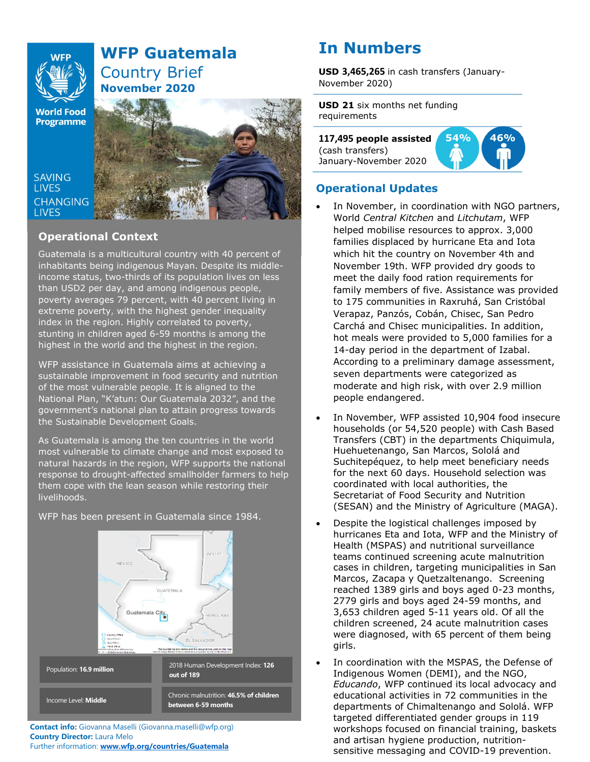

# WFP Guatemala Country Brief November 2020

**World Food Programme** 

**SAVING LIVES** 

**LIVES** 



# Operational Context

Guatemala is a multicultural country with 40 percent of inhabitants being indigenous Mayan. Despite its middleincome status, two-thirds of its population lives on less than USD2 per day, and among indigenous people, poverty averages 79 percent, with 40 percent living in extreme poverty, with the highest gender inequality index in the region. Highly correlated to poverty, stunting in children aged 6-59 months is among the highest in the world and the highest in the region.

sustainable improvement in food security and nutrition WFP assistance in Guatemala aims at achieving a of the most vulnerable people. It is aligned to the National Plan, "K'atun: Our Guatemala 2032", and the government's national plan to attain progress towards the Sustainable Development Goals.

As Guatemala is among the ten countries in the world most vulnerable to climate change and most exposed to natural hazards in the region, WFP supports the national response to drought-affected smallholder farmers to help them cope with the lean season while restoring their livelihoods.



WFP has been present in Guatemala since 1984.

# In Numbers

USD 3,465,265 in cash transfers (January-November 2020)

USD 21 six months net funding requirements

117,495 people assisted (cash transfers) January-November 2020



# Operational Updates

- In November, in coordination with NGO partners, World Central Kitchen and Litchutam, WFP helped mobilise resources to approx. 3,000 families displaced by hurricane Eta and Iota which hit the country on November 4th and November 19th. WFP provided dry goods to meet the daily food ration requirements for family members of five. Assistance was provided to 175 communities in Raxruhá, San Cristóbal Verapaz, Panzós, Cobán, Chisec, San Pedro Carchá and Chisec municipalities. In addition, hot meals were provided to 5,000 families for a 14-day period in the department of Izabal. According to a preliminary damage assessment, seven departments were categorized as moderate and high risk, with over 2.9 million people endangered.
- In November, WFP assisted 10,904 food insecure households (or 54,520 people) with Cash Based Transfers (CBT) in the departments Chiquimula, Huehuetenango, San Marcos, Sololá and Suchitepéquez, to help meet beneficiary needs for the next 60 days. Household selection was coordinated with local authorities, the Secretariat of Food Security and Nutrition (SESAN) and the Ministry of Agriculture (MAGA).
- Despite the logistical challenges imposed by hurricanes Eta and Iota, WFP and the Ministry of Health (MSPAS) and nutritional surveillance teams continued screening acute malnutrition cases in children, targeting municipalities in San Marcos, Zacapa y Quetzaltenango. Screening reached 1389 girls and boys aged 0-23 months, 2779 girls and boys aged 24-59 months, and 3,653 children aged 5-11 years old. Of all the children screened, 24 acute malnutrition cases were diagnosed, with 65 percent of them being girls.
- In coordination with the MSPAS, the Defense of Indigenous Women (DEMI), and the NGO, Educando, WFP continued its local advocacy and educational activities in 72 communities in the departments of Chimaltenango and Sololá. WFP targeted differentiated gender groups in 119 workshops focused on financial training, baskets and artisan hygiene production, nutritionsensitive messaging and COVID-19 prevention.

Contact info: Giovanna Maselli (Giovanna.maselli@wfp.org) Country Director: Laura Melo Further information: www.wfp.org/countries/Guatemala